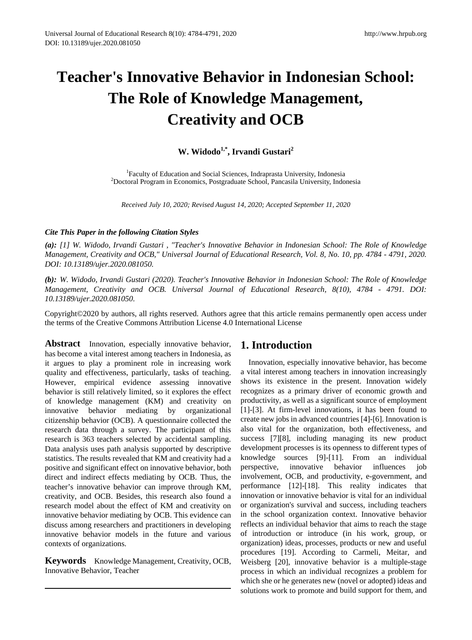# **Teacher's Innovative Behavior in Indonesian School: The Role of Knowledge Management, Creativity and OCB**

**W. Widodo1,\*, Irvandi Gustari<sup>2</sup>**

<sup>1</sup> Faculty of Education and Social Sciences, Indraprasta University, Indonesia<sup>2</sup><br><sup>2</sup> Doctoral Program in Economics, Postgraduate School, Pancasila University, Indo Doctoral Program in Economics, Postgraduate School, Pancasila University, Indonesia

*Received July 10, 2020; Revised August 14, 2020; Accepted September 11, 2020*

# *Cite This Paper in the following Citation Styles*

*(a): [1] W. Widodo, Irvandi Gustari , "Teacher's Innovative Behavior in Indonesian School: The Role of Knowledge Management, Creativity and OCB," Universal Journal of Educational Research, Vol. 8, No. 10, pp. 4784 - 4791, 2020. DOI: 10.13189/ujer.2020.081050.* 

*(b): W. Widodo, Irvandi Gustari (2020). Teacher's Innovative Behavior in Indonesian School: The Role of Knowledge Management, Creativity and OCB. Universal Journal of Educational Research, 8(10), 4784 - 4791. DOI: 10.13189/ujer.2020.081050.* 

Copyright©2020 by authors, all rights reserved. Authors agree that this article remains permanently open access under the terms of the Creative Commons Attribution License 4.0 International License

Abstract Innovation, especially innovative behavior, has become a vital interest among teachers in Indonesia, as it argues to play a prominent role in increasing work quality and effectiveness, particularly, tasks of teaching. However, empirical evidence assessing innovative behavior is still relatively limited, so it explores the effect of knowledge management (KM) and creativity on innovative behavior mediating by organizational citizenship behavior (OCB). A questionnaire collected the research data through a survey. The participant of this research is 363 teachers selected by accidental sampling. Data analysis uses path analysis supported by descriptive statistics. The results revealed that KM and creativity had a positive and significant effect on innovative behavior, both direct and indirect effects mediating by OCB. Thus, the teacher's innovative behavior can improve through KM, creativity, and OCB. Besides, this research also found a research model about the effect of KM and creativity on innovative behavior mediating by OCB. This evidence can discuss among researchers and practitioners in developing innovative behavior models in the future and various contexts of organizations.

**Keywords** Knowledge Management, Creativity, OCB, Innovative Behavior, Teacher

# **1. Introduction**

Innovation, especially innovative behavior, has become a vital interest among teachers in innovation increasingly shows its existence in the present. Innovation widely recognizes as a primary driver of economic growth and productivity, as well as a significant source of employment [1]-[3]. At firm-level innovations, it has been found to create new jobs in advanced countries [4]-[6]. Innovation is also vital for the organization, both effectiveness, and success [7][8], including managing its new product development processes is its openness to different types of knowledge sources [9]-[11]. From an individual perspective, innovative behavior influences job involvement, OCB, and productivity, e-government, and performance [12]-[18]. This reality indicates that innovation or innovative behavior is vital for an individual or organization's survival and success, including teachers in the school organization context. Innovative behavior reflects an individual behavior that aims to reach the stage of introduction or introduce (in his work, group, or organization) ideas, processes, products or new and useful procedures [19]. According to Carmeli, Meitar, and Weisberg [20], innovative behavior is a multiple-stage process in which an individual recognizes a problem for which she or he generates new (novel or adopted) ideas and solutions work to promote and build support for them, and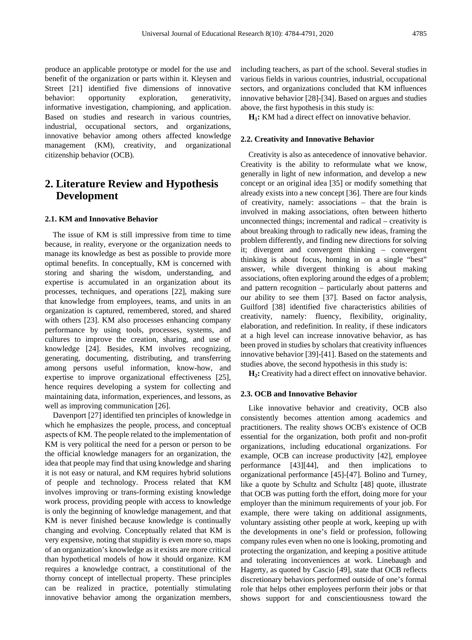produce an applicable prototype or model for the use and benefit of the organization or parts within it. Kleysen and Street [21] identified five dimensions of innovative behavior: opportunity exploration, generativity, informative investigation, championing, and application. Based on studies and research in various countries, industrial, occupational sectors, and organizations, innovative behavior among others affected knowledge management (KM), creativity, and organizational citizenship behavior (OCB).

# **2. Literature Review and Hypothesis Development**

#### **2.1. KM and Innovative Behavior**

The issue of KM is still impressive from time to time because, in reality, everyone or the organization needs to manage its knowledge as best as possible to provide more optimal benefits. In conceptually, KM is concerned with storing and sharing the wisdom, understanding, and expertise is accumulated in an organization about its processes, techniques, and operations [22], making sure that knowledge from employees, teams, and units in an organization is captured, remembered, stored, and shared with others [23]. KM also processes enhancing company performance by using tools, processes, systems, and cultures to improve the creation, sharing, and use of knowledge [24]. Besides, KM involves recognizing, generating, documenting, distributing, and transferring among persons useful information, know-how, and expertise to improve organizational effectiveness [25], hence requires developing a system for collecting and maintaining data, information, experiences, and lessons, as well as improving communication [26].

Davenport [27] identified ten principles of knowledge in which he emphasizes the people, process, and conceptual aspects of KM. The people related to the implementation of KM is very political the need for a person or person to be the official knowledge managers for an organization, the idea that people may find that using knowledge and sharing it is not easy or natural, and KM requires hybrid solutions of people and technology. Process related that KM involves improving or trans-forming existing knowledge work process, providing people with access to knowledge is only the beginning of knowledge management, and that KM is never finished because knowledge is continually changing and evolving. Conceptually related that KM is very expensive, noting that stupidity is even more so, maps of an organization's knowledge as it exists are more critical than hypothetical models of how it should organize. KM requires a knowledge contract, a constitutional of the thorny concept of intellectual property. These principles can be realized in practice, potentially stimulating innovative behavior among the organization members,

including teachers, as part of the school. Several studies in various fields in various countries, industrial, occupational sectors, and organizations concluded that KM influences innovative behavior [28]-[34]. Based on argues and studies above, the first hypothesis in this study is:

**H<sub>1</sub>:** KM had a direct effect on innovative behavior.

#### **2.2. Creativity and Innovative Behavior**

Creativity is also as antecedence of innovative behavior. Creativity is the ability to reformulate what we know, generally in light of new information, and develop a new concept or an original idea [35] or modify something that already exists into a new concept [36]. There are four kinds of creativity, namely: associations – that the brain is involved in making associations, often between hitherto unconnected things; incremental and radical – creativity is about breaking through to radically new ideas, framing the problem differently, and finding new directions for solving it; divergent and convergent thinking – convergent thinking is about focus, homing in on a single "best" answer, while divergent thinking is about making associations, often exploring around the edges of a problem; and pattern recognition – particularly about patterns and our ability to see them [37]. Based on factor analysis, Guilford [38] identified five characteristics abilities of creativity, namely: fluency, flexibility, originality, elaboration, and redefinition. In reality, if these indicators at a high level can increase innovative behavior, as has been proved in studies by scholars that creativity influences innovative behavior [39]-[41]. Based on the statements and studies above, the second hypothesis in this study is:

**H2:** Creativity had a direct effect on innovative behavior.

#### **2.3. OCB and Innovative Behavior**

Like innovative behavior and creativity, OCB also consistently becomes attention among academics and practitioners. The reality shows OCB's existence of OCB essential for the organization, both profit and non-profit organizations, including educational organizations. For example, OCB can increase productivity [42], employee performance [43][44], and then implications to organizational performance [45]-[47]. Bolino and Turney, like a quote by Schultz and Schultz [48] quote, illustrate that OCB was putting forth the effort, doing more for your employer than the minimum requirements of your job. For example, there were taking on additional assignments, voluntary assisting other people at work, keeping up with the developments in one's field or profession, following company rules even when no one is looking, promoting and protecting the organization, and keeping a positive attitude and tolerating inconveniences at work. Linebaugh and Hagerty, as quoted by Cascio [49], state that OCB reflects discretionary behaviors performed outside of one's formal role that helps other employees perform their jobs or that shows support for and conscientiousness toward the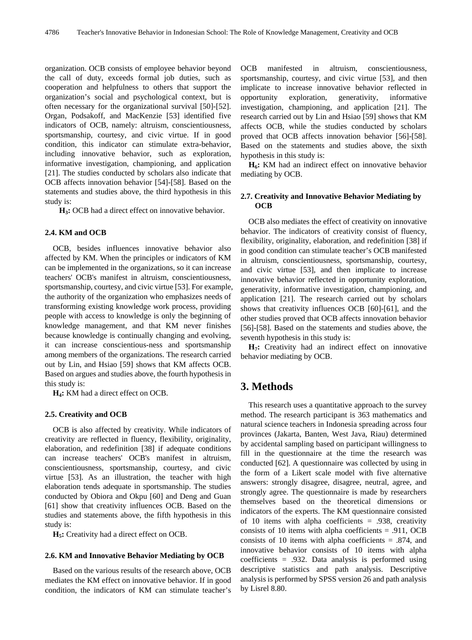organization. OCB consists of employee behavior beyond the call of duty, exceeds formal job duties, such as cooperation and helpfulness to others that support the organization's social and psychological context, but is often necessary for the organizational survival [50]-[52]. Organ, Podsakoff, and MacKenzie [53] identified five indicators of OCB, namely: altruism, conscientiousness, sportsmanship, courtesy, and civic virtue. If in good condition, this indicator can stimulate extra-behavior, including innovative behavior, such as exploration, informative investigation, championing, and application [21]. The studies conducted by scholars also indicate that OCB affects innovation behavior [54]-[58]. Based on the statements and studies above, the third hypothesis in this study is:

**H3:** OCB had a direct effect on innovative behavior.

### **2.4. KM and OCB**

OCB, besides influences innovative behavior also affected by KM. When the principles or indicators of KM can be implemented in the organizations, so it can increase teachers' OCB's manifest in altruism, conscientiousness, sportsmanship, courtesy, and civic virtue [53]. For example, the authority of the organization who emphasizes needs of transforming existing knowledge work process, providing people with access to knowledge is only the beginning of knowledge management, and that KM never finishes because knowledge is continually changing and evolving, it can increase conscientious-ness and sportsmanship among members of the organizations. The research carried out by Lin, and Hsiao [59] shows that KM affects OCB. Based on argues and studies above, the fourth hypothesis in this study is:

**H4:** KM had a direct effect on OCB.

#### **2.5. Creativity and OCB**

OCB is also affected by creativity. While indicators of creativity are reflected in fluency, flexibility, originality, elaboration, and redefinition [38] if adequate conditions can increase teachers' OCB's manifest in altruism, conscientiousness, sportsmanship, courtesy, and civic virtue [53]. As an illustration, the teacher with high elaboration tends adequate in sportsmanship. The studies conducted by Obiora and Okpu [60] and Deng and Guan [61] show that creativity influences OCB. Based on the studies and statements above, the fifth hypothesis in this study is:

**H5:** Creativity had a direct effect on OCB.

## **2.6. KM and Innovative Behavior Mediating by OCB**

Based on the various results of the research above, OCB mediates the KM effect on innovative behavior. If in good condition, the indicators of KM can stimulate teacher's OCB manifested in altruism, conscientiousness, sportsmanship, courtesy, and civic virtue [53], and then implicate to increase innovative behavior reflected in opportunity exploration, generativity, informative investigation, championing, and application [21]. The research carried out by Lin and Hsiao [59] shows that KM affects OCB, while the studies conducted by scholars proved that OCB affects innovation behavior [56]-[58]. Based on the statements and studies above, the sixth hypothesis in this study is:

H<sub>6</sub>: KM had an indirect effect on innovative behavior mediating by OCB.

# **2.7. Creativity and Innovative Behavior Mediating by OCB**

OCB also mediates the effect of creativity on innovative behavior. The indicators of creativity consist of fluency, flexibility, originality, elaboration, and redefinition [38] if in good condition can stimulate teacher's OCB manifested in altruism, conscientiousness, sportsmanship, courtesy, and civic virtue [53], and then implicate to increase innovative behavior reflected in opportunity exploration, generativity, informative investigation, championing, and application [21]. The research carried out by scholars shows that creativity influences OCB [60]-[61], and the other studies proved that OCB affects innovation behavior [56]-[58]. Based on the statements and studies above, the seventh hypothesis in this study is:

**H7:** Creativity had an indirect effect on innovative behavior mediating by OCB.

# **3. Methods**

This research uses a quantitative approach to the survey method. The research participant is 363 mathematics and natural science teachers in Indonesia spreading across four provinces (Jakarta, Banten, West Java, Riau) determined by accidental sampling based on participant willingness to fill in the questionnaire at the time the research was conducted [62]. A questionnaire was collected by using in the form of a Likert scale model with five alternative answers: strongly disagree, disagree, neutral, agree, and strongly agree. The questionnaire is made by researchers themselves based on the theoretical dimensions or indicators of the experts. The KM questionnaire consisted of 10 items with alpha coefficients  $= .938$ , creativity consists of 10 items with alpha coefficients = .911, OCB consists of 10 items with alpha coefficients = .874, and innovative behavior consists of 10 items with alpha coefficients = .932. Data analysis is performed using descriptive statistics and path analysis. Descriptive analysis is performed by SPSS version 26 and path analysis by Lisrel 8.80.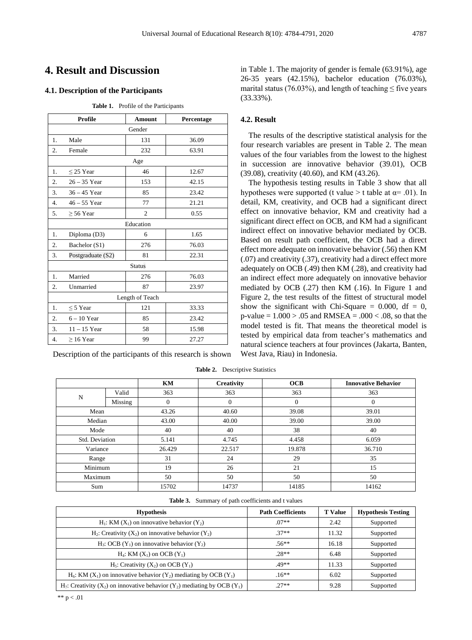# **4. Result and Discussion**

# **4.1. Description of the Participants**

| Profile          |                   | <b>Amount</b>  | Percentage |  |  |  |  |
|------------------|-------------------|----------------|------------|--|--|--|--|
| Gender           |                   |                |            |  |  |  |  |
| 1.               | Male              | 131            | 36.09      |  |  |  |  |
| 2.               | Female            | 232            | 63.91      |  |  |  |  |
| Age              |                   |                |            |  |  |  |  |
| 1.               | $\leq$ 25 Year    | 46             | 12.67      |  |  |  |  |
| 2.               | $26 - 35$ Year    | 153            | 42.15      |  |  |  |  |
| 3.               | $36 - 45$ Year    | 85             | 23.42      |  |  |  |  |
| 4.               | $46 - 55$ Year    | 77             | 21.21      |  |  |  |  |
| 5.               | $\geq 56$ Year    | $\overline{c}$ | 0.55       |  |  |  |  |
|                  |                   | Education      |            |  |  |  |  |
| 1.               | Diploma (D3)      | 6              | 1.65       |  |  |  |  |
| 2.               | Bachelor (S1)     | 276            | 76.03      |  |  |  |  |
| 3.               | Postgraduate (S2) | 81             | 22.31      |  |  |  |  |
|                  |                   | <b>Status</b>  |            |  |  |  |  |
| 1.               | Married           | 276            | 76.03      |  |  |  |  |
| 2.               | Unmarried         | 87             | 23.97      |  |  |  |  |
| Length of Teach  |                   |                |            |  |  |  |  |
| 1.               | $\leq$ 5 Year     | 121            | 33.33      |  |  |  |  |
| 2.               | $6 - 10$ Year     | 85             | 23.42      |  |  |  |  |
| 3.               | $11 - 15$ Year    | 58             | 15.98      |  |  |  |  |
| $\overline{4}$ . | $\geq 16$ Year    | 99             | 27.27      |  |  |  |  |

Description of the participants of this research is shown

in Table 1. The majority of gender is female (63.91%), age 26-35 years (42.15%), bachelor education (76.03%), marital status (76.03%), and length of teaching  $\leq$  five years (33.33%).

# **4.2. Result**

The results of the descriptive statistical analysis for the four research variables are present in Table 2. The mean values of the four variables from the lowest to the highest in succession are innovative behavior (39.01), OCB (39.08), creativity (40.60), and KM (43.26).

The hypothesis testing results in Table 3 show that all hypotheses were supported (t value > t table at  $\alpha$ = .01). In detail, KM, creativity, and OCB had a significant direct effect on innovative behavior, KM and creativity had a significant direct effect on OCB, and KM had a significant indirect effect on innovative behavior mediated by OCB. Based on result path coefficient, the OCB had a direct effect more adequate on innovative behavior (.56) then KM (.07) and creativity (.37), creativity had a direct effect more adequately on OCB (.49) then KM (.28), and creativity had an indirect effect more adequately on innovative behavior mediated by OCB (.27) then KM (.16). In Figure 1 and Figure 2, the test results of the fittest of structural model show the significant with Chi-Square  $= 0.000$ , df  $= 0$ ,  $p$ -value = 1.000 > .05 and RMSEA = .000 < .08, so that the model tested is fit. That means the theoretical model is tested by empirical data from teacher's mathematics and natural science teachers at four provinces (Jakarta, Banten, West Java, Riau) in Indonesia.

|                |         | KM     | <b>Creativity</b> | OCB      | <b>Innovative Behavior</b> |  |
|----------------|---------|--------|-------------------|----------|----------------------------|--|
|                | Valid   | 363    | 363               | 363      | 363                        |  |
| N              | Missing | 0      | $\mathbf{0}$      | $\Omega$ | $\mathbf{0}$               |  |
| Mean           |         | 43.26  | 40.60             | 39.08    | 39.01                      |  |
| Median         |         | 43.00  | 40.00             | 39.00    | 39.00                      |  |
| Mode           |         | 40     | 40                | 38       | 40                         |  |
| Std. Deviation |         | 5.141  | 4.745             | 4.458    | 6.059                      |  |
| Variance       |         | 26.429 | 22.517            | 19.878   | 36.710                     |  |
| Range          |         | 31     | 24                | 29       | 35                         |  |
| Minimum        |         | 19     | 26                | 21       | 15                         |  |
| Maximum        |         | 50     | 50                | 50       | 50                         |  |
| Sum            |         | 15702  | 14737             | 14185    | 14162                      |  |

**Table 2.** Descriptive Statistics

**Table 3.** Summary of path coefficients and t values

| <b>Hypothesis</b>                                                                                                | <b>Path Coefficients</b> | <b>T</b> Value | <b>Hypothesis Testing</b> |
|------------------------------------------------------------------------------------------------------------------|--------------------------|----------------|---------------------------|
| H <sub>1</sub> : KM $(X_1)$ on innovative behavior $(Y_2)$                                                       | $.07**$                  | 2.42           | Supported                 |
| $H_2$ : Creativity (X <sub>2</sub> ) on innovative behavior (Y <sub>2</sub> )                                    | $37**$                   | 11.32          | Supported                 |
| $H_3$ : OCB (Y <sub>1</sub> ) on innovative behavior (Y <sub>2</sub> )                                           | $.56**$                  | 16.18          | Supported                 |
| $H_4$ : KM $(X_1)$ on OCB $(Y_1)$                                                                                | $28**$                   | 6.48           | Supported                 |
| $H_5$ : Creativity $(X_2)$ on OCB $(Y_1)$                                                                        | $49**$                   | 11.33          | Supported                 |
| $H_6$ : KM $(X_1)$ on innovative behavior $(Y_2)$ mediating by OCB $(Y_1)$                                       | $.16***$                 | 6.02           | Supported                 |
| $H_7$ : Creativity (X <sub>2</sub> ) on innovative behavior (Y <sub>2</sub> ) mediating by OCB (Y <sub>1</sub> ) | $27**$                   | 9.28           | Supported                 |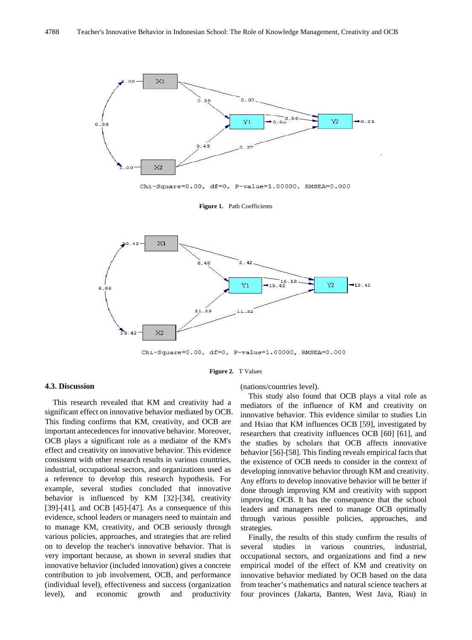

Chi-Square=0.00, df=0, P-value=1.00000, RMSEA=0.000

**Figure 1.** Path Coefficients



Chi-Square=0.00, df=0, P-value=1.00000, RMSEA=0.000

#### **Figure 2.** T Values

#### **4.3. Discussion**

This research revealed that KM and creativity had a significant effect on innovative behavior mediated by OCB. This finding confirms that KM, creativity, and OCB are important antecedences for innovative behavior. Moreover, OCB plays a significant role as a mediator of the KM's effect and creativity on innovative behavior. This evidence consistent with other research results in various countries, industrial, occupational sectors, and organizations used as a reference to develop this research hypothesis. For example, several studies concluded that innovative behavior is influenced by KM [32]-[34], creativity [39]-[41], and OCB [45]-[47]. As a consequence of this evidence, school leaders or managers need to maintain and to manage KM, creativity, and OCB seriously through various policies, approaches, and strategies that are relied on to develop the teacher's innovative behavior. That is very important because, as shown in several studies that innovative behavior (included innovation) gives a concrete contribution to job involvement, OCB, and performance (individual level), effectiveness and success (organization level), and economic growth and productivity

(nations/countries level).

This study also found that OCB plays a vital role as mediators of the influence of KM and creativity on innovative behavior. This evidence similar to studies Lin and Hsiao that KM influences OCB [59], investigated by researchers that creativity influences OCB [60] [61], and the studies by scholars that OCB affects innovative behavior [56]-[58]. This finding reveals empirical facts that the existence of OCB needs to consider in the context of developing innovative behavior through KM and creativity. Any efforts to develop innovative behavior will be better if done through improving KM and creativity with support improving OCB. It has the consequence that the school leaders and managers need to manage OCB optimally through various possible policies, approaches, and strategies.

Finally, the results of this study confirm the results of several studies in various countries, industrial, occupational sectors, and organizations and find a new empirical model of the effect of KM and creativity on innovative behavior mediated by OCB based on the data from teacher's mathematics and natural science teachers at four provinces (Jakarta, Banten, West Java, Riau) in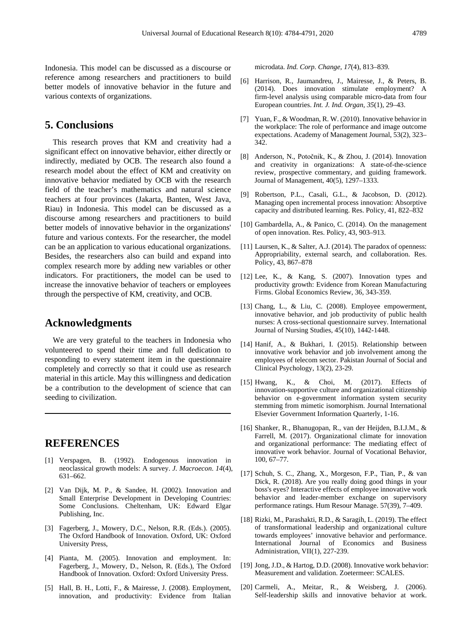Indonesia. This model can be discussed as a discourse or reference among researchers and practitioners to build better models of innovative behavior in the future and various contexts of organizations.

# **5. Conclusions**

This research proves that KM and creativity had a significant effect on innovative behavior, either directly or indirectly, mediated by OCB. The research also found a research model about the effect of KM and creativity on innovative behavior mediated by OCB with the research field of the teacher's mathematics and natural science teachers at four provinces (Jakarta, Banten, West Java, Riau) in Indonesia. This model can be discussed as a discourse among researchers and practitioners to build better models of innovative behavior in the organizations' future and various contexts. For the researcher, the model can be an application to various educational organizations. Besides, the researchers also can build and expand into complex research more by adding new variables or other indicators. For practitioners, the model can be used to increase the innovative behavior of teachers or employees through the perspective of KM, creativity, and OCB.

# **Acknowledgments**

We are very grateful to the teachers in Indonesia who volunteered to spend their time and full dedication to responding to every statement item in the questionnaire completely and correctly so that it could use as research material in this article. May this willingness and dedication be a contribution to the development of science that can seeding to civilization.

# **REFERENCES**

- [1] Verspagen, B. (1992). Endogenous innovation in neoclassical growth models: A survey. *J. Macroecon*. *14*(4), 631–662.
- [2] Van Dijk, M. P., & Sandee, H. (2002). Innovation and Small Enterprise Development in Developing Countries: Some Conclusions. Cheltenham, UK: Edward Elgar Publishing, Inc.
- [3] Fagerberg, J., Mowery, D.C., Nelson, R.R. (Eds.). (2005). The Oxford Handbook of Innovation. Oxford, UK: Oxford University Press,
- [4] Pianta, M. (2005). Innovation and employment. In: Fagerberg, J., Mowery, D., Nelson, R. (Eds.), The Oxford Handbook of Innovation. Oxford: Oxford University Press.
- [5] Hall, B. H., Lotti, F., & Mairesse, J. (2008). Employment, innovation, and productivity: Evidence from Italian

microdata. *Ind. Corp. Change, 17*(4), 813–839.

- [6] Harrison, R., Jaumandreu, J., Mairesse, J., & Peters, B. (2014). Does innovation stimulate employment? A firm-level analysis using comparable micro-data from four European countries. *Int. J. Ind. Organ, 35*(1), 29–43.
- [7] Yuan, F., & Woodman, R. W. (2010). Innovative behavior in the workplace: The role of performance and image outcome expectations. Academy of Management Journal, 53(2), 323– 342.
- [8] Anderson, N., Potočnik, K., & Zhou, J. (2014). Innovation and creativity in organizations: A state-of-the-science review, prospective commentary, and guiding framework. Journal of Management, 40(5), 1297–1333.
- [9] Robertson, P.L., Casali, G.L., & Jacobson, D. (2012). Managing open incremental process innovation: Absorptive capacity and distributed learning. Res. Policy, 41, 822–832
- [10] Gambardella, A., & Panico, C. (2014). On the management of open innovation. Res. Policy, 43, 903–913.
- [11] Laursen, K., & Salter, A.J. (2014). The paradox of openness: Appropriability, external search, and collaboration. Res. Policy, 43, 867–878
- [12] Lee, K., & Kang, S. (2007). Innovation types and productivity growth: Evidence from Korean Manufacturing Firms. Global Economics Review, 36, 343-359.
- [13] Chang, L., & Liu, C. (2008). Employee empowerment, innovative behavior, and job productivity of public health nurses: A cross-sectional questionnaire survey. International Journal of Nursing Studies, 45(10), 1442-1448.
- [14] Hanif, A., & Bukhari, I. (2015). Relationship between innovative work behavior and job involvement among the employees of telecom sector. Pakistan Journal of Social and Clinical Psychology, 13(2), 23-29.
- [15] Hwang, K., & Choi, M. (2017). Effects of innovation-supportive culture and organizational citizenship behavior on e-government information system security stemming from mimetic isomorphism. Journal International Elsevier Government Information Quarterly, 1-16.
- [16] Shanker, R., Bhanugopan, R., van der Heijden, B.I.J.M., & Farrell, M. (2017). Organizational climate for innovation and organizational performance: The mediating effect of innovative work behavior. Journal of Vocational Behavior, 100, 67–77.
- [17] Schuh, S. C., Zhang, X., Morgeson, F.P., Tian, P., & van Dick, R. (2018). Are you really doing good things in your boss's eyes? Interactive effects of employee innovative work behavior and leader-member exchange on supervisory performance ratings. Hum Resour Manage. 57(39), 7–409.
- [18] Rizki, M., Parashakti, R.D., & Saragih, L. (2019). The effect of transformational leadership and organizational culture towards employees' innovative behavior and performance. International Journal of Economics and Business Administration, VII(1), 227-239.
- [19] Jong, J.D., & Hartog, D.D. (2008). Innovative work behavior: Measurement and validation. Zoetermeer: SCALES.
- [20] Carmeli, A., Meitar, R., & Weisberg, J. (2006). Self-leadership skills and innovative behavior at work.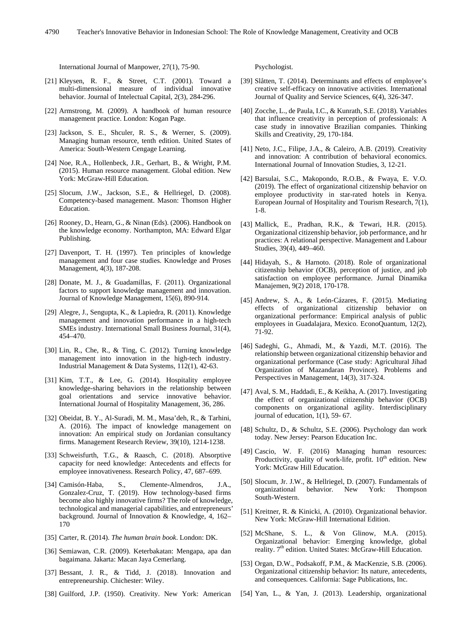International Journal of Manpower, 27(1), 75-90.

- [21] Kleysen, R. F., & Street, C.T. (2001). Toward a multi-dimensional measure of individual innovative behavior. Journal of Intelectual Capital, 2(3), 284-296.
- [22] Armstrong, M. (2009). A handbook of human resource management practice. London: Kogan Page.
- [23] Jackson, S. E., Shculer, R. S., & Werner, S. (2009). Managing human resource, tenth edition. United States of America: South-Western Cengage Learning.
- [24] Noe, R.A., Hollenbeck, J.R., Gerhart, B., & Wright, P.M. (2015). Human resource management. Global edition. New York: McGraw-Hill Education.
- [25] Slocum, J.W., Jackson, S.E., & Hellriegel, D. (2008). Competency-based management. Mason: Thomson Higher Education.
- [26] Rooney, D., Hearn, G., & Ninan (Eds). (2006). Handbook on the knowledge economy. Northampton, MA: Edward Elgar Publishing.
- [27] Davenport, T. H. (1997). Ten principles of knowledge management and four case studies. Knowledge and Proses Management, 4(3), 187-208.
- [28] Donate, M. J., & Guadamillas, F. (2011). Organizational factors to support knowledge management and innovation. Journal of Knowledge Management, 15(6), 890-914.
- [29] Alegre, J., Sengupta, K., & Lapiedra, R. (2011). Knowledge management and innovation performance in a high-tech SMEs industry. International Small Business Journal, 31(4), 454–470.
- [30] Lin, R., Che, R., & Ting, C. (2012). Turning knowledge management into innovation in the high-tech industry. Industrial Management & Data Systems, 112(1), 42-63.
- [31] Kim, T.T., & Lee, G. (2014). Hospitality employee knowledge-sharing behaviors in the relationship between goal orientations and service innovative behavior. International Journal of Hospitality Management, 36, 286.
- [32] Obeidat, B. Y., Al-Suradi, M. M., Masa'deh, R., & Tarhini, A. (2016). The impact of knowledge management on innovation: An empirical study on Jordanian consultancy firms. Management Research Review, 39(10), 1214-1238.
- [33] Schweisfurth, T.G., & Raasch, C. (2018). Absorptive capacity for need knowledge: Antecedents and effects for employee innovativeness. Research Policy, 47, 687–699.
- [34] Camisón-Haba, S., Clemente-Almendros, J.A., Gonzalez-Cruz, T. (2019). How technology-based firms become also highly innovative firms? The role of knowledge, technological and managerial capabilities, and entrepreneurs' background. Journal of Innovation & Knowledge, 4, 162– 170
- [35] Carter, R. (2014). *The human brain book*. London: DK.
- [36] Semiawan, C.R. (2009). Keterbakatan: Mengapa, apa dan bagaimana. Jakarta: Macan Jaya Cemerlang.
- [37] Bessant, J. R., & Tidd, J. (2018). Innovation and entrepreneurship. Chichester: Wiley.
- [38] Guilford, J.P. (1950). Creativity. New York: American

Psychologist.

- [39] Slåtten, T. (2014). Determinants and effects of employee's creative self-efficacy on innovative activities. International Journal of Quality and Service Sciences, 6(4), 326-347.
- [40] Zocche, L., de Paula, I.C., & Kunrath, S.E. (2018). Variables that influence creativity in perception of professionals: A case study in innovative Brazilian companies. Thinking Skills and Creativity, 29, 170-184.
- [41] Neto, J.C., Filipe, J.A., & Caleiro, A.B. (2019). Creativity and innovation: A contribution of behavioral economics. International Journal of Innovation Studies, 3, 12-21.
- [42] Barsulai, S.C., Makopondo, R.O.B., & Fwaya, E. V.O. (2019). The effect of organizational citizenship behavior on employee productivity in star-rated hotels in Kenya. European Journal of Hospitality and Tourism Research, 7(1), 1-8.
- [43] Mallick, E., Pradhan, R.K., & Tewari, H.R. (2015). Organizational citizenship behavior, job performance, and hr practices: A relational perspective. Management and Labour Studies, 39(4), 449–460.
- [44] Hidayah, S., & Harnoto. (2018). Role of organizational citizenship behavior (OCB), perception of justice, and job satisfaction on employee performance. Jurnal Dinamika Manajemen, 9(2) 2018, 170-178.
- [45] Andrew, S. A., & León-Cázares, F. (2015). Mediating effects of organizational citizenship behavior on organizational performance: Empirical analysis of public employees in Guadalajara, Mexico. EconoQuantum, 12(2), 71-92.
- [46] Sadeghi, G., Ahmadi, M., & Yazdi, M.T. (2016). The relationship between organizational citizenship behavior and organizational performance (Case study: Agricultural Jihad Organization of Mazandaran Province). Problems and Perspectives in Management, 14(3), 317-324.
- [47] Aval, S. M., Haddadi, E., & Keikha, A. (2017). Investigating the effect of organizational citizenship behavior (OCB) components on organizational agility. Interdisciplinary journal of education, 1(1), 59- 67.
- [48] Schultz, D., & Schultz, S.E. (2006). Psychology dan work today. New Jersey: Pearson Education Inc.
- [49] Cascio, W. F. (2016) Managing human resources: Productivity, quality of work-life, profit.  $10<sup>th</sup>$  edition. New York: McGraw Hill Education.
- [50] Slocum, Jr. J.W., & Hellriegel, D. (2007). Fundamentals of organizational behavior. New York: Thompson South-Western.
- [51] Kreitner, R. & Kinicki, A. (2010). Organizational behavior. New York: McGraw-Hill International Edition.
- [52] McShane, S. L., & Von Glinow, M.A. (2015). Organizational behavior: Emerging knowledge, global reality. 7<sup>th</sup> edition. United States: McGraw-Hill Education.
- [53] Organ, D.W., Podsakoff, P.M., & MacKenzie, S.B. (2006). Organizational citizenship behavior: Its nature, antecedents, and consequences. California: Sage Publications, Inc.
- [54] Yan, L., & Yan, J. (2013). Leadership, organizational